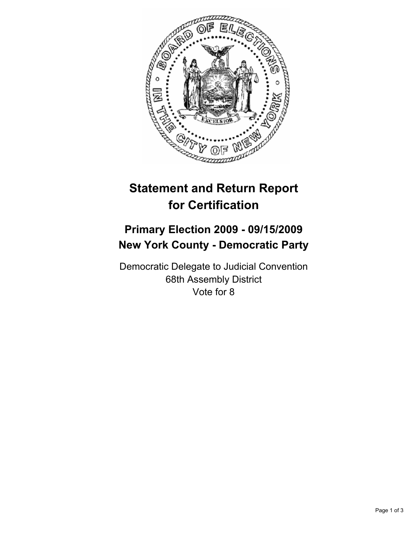

## **Statement and Return Report for Certification**

## **Primary Election 2009 - 09/15/2009 New York County - Democratic Party**

Democratic Delegate to Judicial Convention 68th Assembly District Vote for 8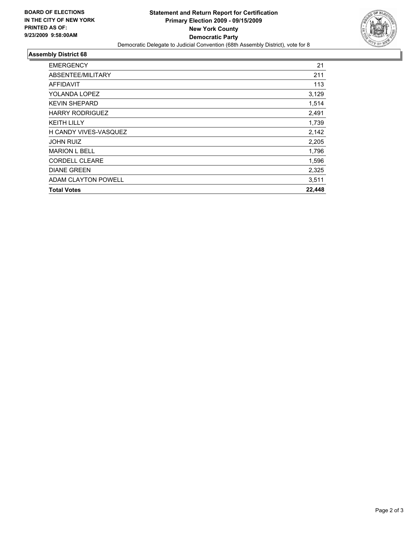

## **Assembly District 68**

| <b>EMERGENCY</b>       | 21     |
|------------------------|--------|
| ABSENTEE/MILITARY      | 211    |
| <b>AFFIDAVIT</b>       | 113    |
| YOLANDA LOPEZ          | 3,129  |
| <b>KEVIN SHEPARD</b>   | 1,514  |
| <b>HARRY RODRIGUEZ</b> | 2,491  |
| <b>KEITH LILLY</b>     | 1,739  |
| H CANDY VIVES-VASQUEZ  | 2,142  |
| <b>JOHN RUIZ</b>       | 2,205  |
| <b>MARION L BELL</b>   | 1,796  |
| <b>CORDELL CLEARE</b>  | 1,596  |
| <b>DIANE GREEN</b>     | 2,325  |
| ADAM CLAYTON POWELL    | 3,511  |
| <b>Total Votes</b>     | 22,448 |